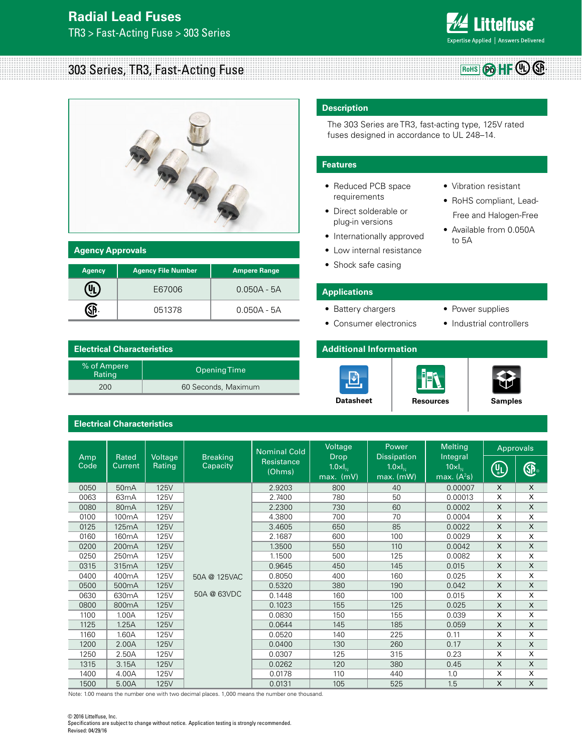## **Radial Lead Fuses** TR3 > Fast-Acting Fuse > 303 Series



## 303 Series, TR3, Fast-Acting Fuse **Rows Rows Pabbis 203 Series, TR3, Fast-Acting Fuse**



| <b>Agency Approvals</b> |                           |                     |  |
|-------------------------|---------------------------|---------------------|--|
| <b>Agency</b>           | <b>Agency File Number</b> | <b>Ampere Range</b> |  |
|                         | E67006                    | $0.050A - 5A$       |  |
|                         | 051378                    | $0.050A - 5A$       |  |

| <b>Electrical Characteristics</b> |                     |  |
|-----------------------------------|---------------------|--|
| % of Ampere<br>Rating             | <b>Opening Time</b> |  |
| 200                               | 60 Seconds, Maximum |  |

### **Electrical Characteristics**

#### **Description**

The 303 Series are TR3, fast-acting type, 125V rated fuses designed in accordance to UL 248–14.

#### **Features**

- Reduced PCB space requirements
- Direct solderable or plug-in versions
- Internationally approved
- Low internal resistance
- Shock safe casing
- **Applications**
- Battery chargers
- Consumer electronics
- Power supplies

• Vibration resistant • RoHS compliant, Lead- Free and Halogen-Free • Available from 0.050A

to 5A

• Industrial controllers

#### **Additional Information**







|             |                         |                   |                             | <b>Nominal Cold</b>  | Voltage                                        | Power                                                 | <b>Melting</b>                                |                           | <b>Approvals</b> |
|-------------|-------------------------|-------------------|-----------------------------|----------------------|------------------------------------------------|-------------------------------------------------------|-----------------------------------------------|---------------------------|------------------|
| Amp<br>Code | Rated<br><b>Current</b> | Voltage<br>Rating | <b>Breaking</b><br>Capacity | Resistance<br>(Ohms) | <b>Drop</b><br>$1.0 \times I_{N}$<br>max. (mV) | <b>Dissipation</b><br>$1.0 \times I_{N}$<br>max. (mW) | Integral<br>$10 \times I_{N}$<br>max. $(A2s)$ | (UL)<br>⊚L)               | ®                |
| 0050        | 50 <sub>m</sub> A       | <b>125V</b>       |                             | 2.9203               | 800                                            | 40                                                    | 0.00007                                       | $\boldsymbol{\mathsf{X}}$ | $\times$         |
| 0063        | 63 <sub>m</sub> A       | 125V              |                             | 2.7400               | 780                                            | 50                                                    | 0.00013                                       | X                         | X                |
| 0080        | 80 <sub>m</sub> A       | 125V              |                             | 2.2300               | 730                                            | 60                                                    | 0.0002                                        | $\mathsf{X}$              | X                |
| 0100        | 100 <sub>m</sub> A      | 125V              |                             | 4.3800               | 700                                            | 70                                                    | 0.0004                                        | X                         | X                |
| 0125        | 125mA                   | <b>125V</b>       |                             | 3.4605               | 650                                            | 85                                                    | 0.0022                                        | X                         | X                |
| 0160        | 160 <sub>m</sub> A      | 125V              |                             | 2.1687               | 600                                            | 100                                                   | 0.0029                                        | X                         | X                |
| 0200        | 200 <sub>m</sub> A      | <b>125V</b>       |                             | 1.3500               | 550                                            | 110                                                   | 0.0042                                        | X                         | X                |
| 0250        | 250 <sub>m</sub> A      | 125V              |                             | 1.1500               | 500                                            | 125                                                   | 0.0082                                        | X                         | X                |
| 0315        | 315mA                   | <b>125V</b>       |                             | 0.9645               | 450                                            | 145                                                   | 0.015                                         | $\times$                  | X                |
| 0400        | 400 <sub>m</sub> A      | 125V              | 50A @ 125VAC                | 0.8050               | 400                                            | 160                                                   | 0.025                                         | X                         | X                |
| 0500        | 500 <sub>m</sub> A      | <b>125V</b>       |                             | 0.5320               | 380                                            | 190                                                   | 0.042                                         | $\times$                  | X                |
| 0630        | 630 <sub>m</sub> A      | 125V              | 50A @ 63VDC                 | 0.1448               | 160                                            | 100                                                   | 0.015                                         | X                         | X                |
| 0800        | 800mA                   | <b>125V</b>       |                             | 0.1023               | 155                                            | 125                                                   | 0.025                                         | $\times$                  | X                |
| 1100        | 1.00A                   | 125V              |                             | 0.0830               | 150                                            | 155                                                   | 0.039                                         | X                         | X                |
| 1125        | 1.25A                   | <b>125V</b>       |                             | 0.0644               | 145                                            | 185                                                   | 0.059                                         | $\boldsymbol{\mathsf{x}}$ | X                |
| 1160        | 1.60A                   | 125V              |                             | 0.0520               | 140                                            | 225                                                   | 0.11                                          | X                         | X                |
| 1200        | 2.00A                   | <b>125V</b>       |                             | 0.0400               | 130                                            | 260                                                   | 0.17                                          | X                         | X                |
| 1250        | 2.50A                   | 125V              |                             | 0.0307               | 125                                            | 315                                                   | 0.23                                          | X                         | X                |
| 1315        | 3.15A                   | <b>125V</b>       |                             | 0.0262               | 120                                            | 380                                                   | 0.45                                          | X                         | X                |
| 1400        | 4.00A                   | 125V              |                             | 0.0178               | 110                                            | 440                                                   | 1.0                                           | X                         | X                |
| 1500        | 5.00A                   | <b>125V</b>       |                             | 0.0131               | 105                                            | 525                                                   | 1.5                                           | X                         | X                |

Note: 1.00 means the number one with two decimal places. 1,000 means the number one thousand.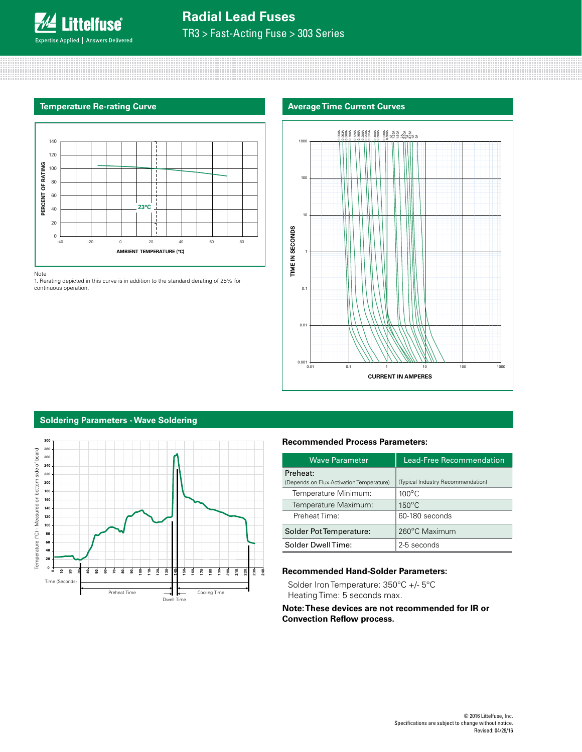

# **Radial Lead Fuses**

TR3 > Fast-Acting Fuse > 303 Series



Note

1. Rerating depicted in this curve is in addition to the standard derating of 25% for continuous operation.

#### **Temperature Re-rating Curve Average Time Current Curves Average Time Current Curves**



#### **Soldering Parameters - Wave Soldering**



#### **Recommended Process Parameters:**

| <b>Wave Parameter</b>                    | Lead-Free Recommendation          |
|------------------------------------------|-----------------------------------|
| Preheat:                                 |                                   |
| (Depends on Flux Activation Temperature) | (Typical Industry Recommendation) |
| Temperature Minimum:                     | $100^{\circ}$ C                   |
| Temperature Maximum:                     | $150^{\circ}$ C                   |
| Preheat Time:                            | 60-180 seconds                    |
| Solder Pot Temperature:                  | 260°C Maximum                     |
| Solder DwellTime:                        | 2-5 seconds                       |

### **Recommended Hand-Solder Parameters:**

Solder Iron Temperature: 350°C +/- 5°C Heating Time: 5 seconds max.

#### **Note: These devices are not recommended for IR or Convection Reflow process.**